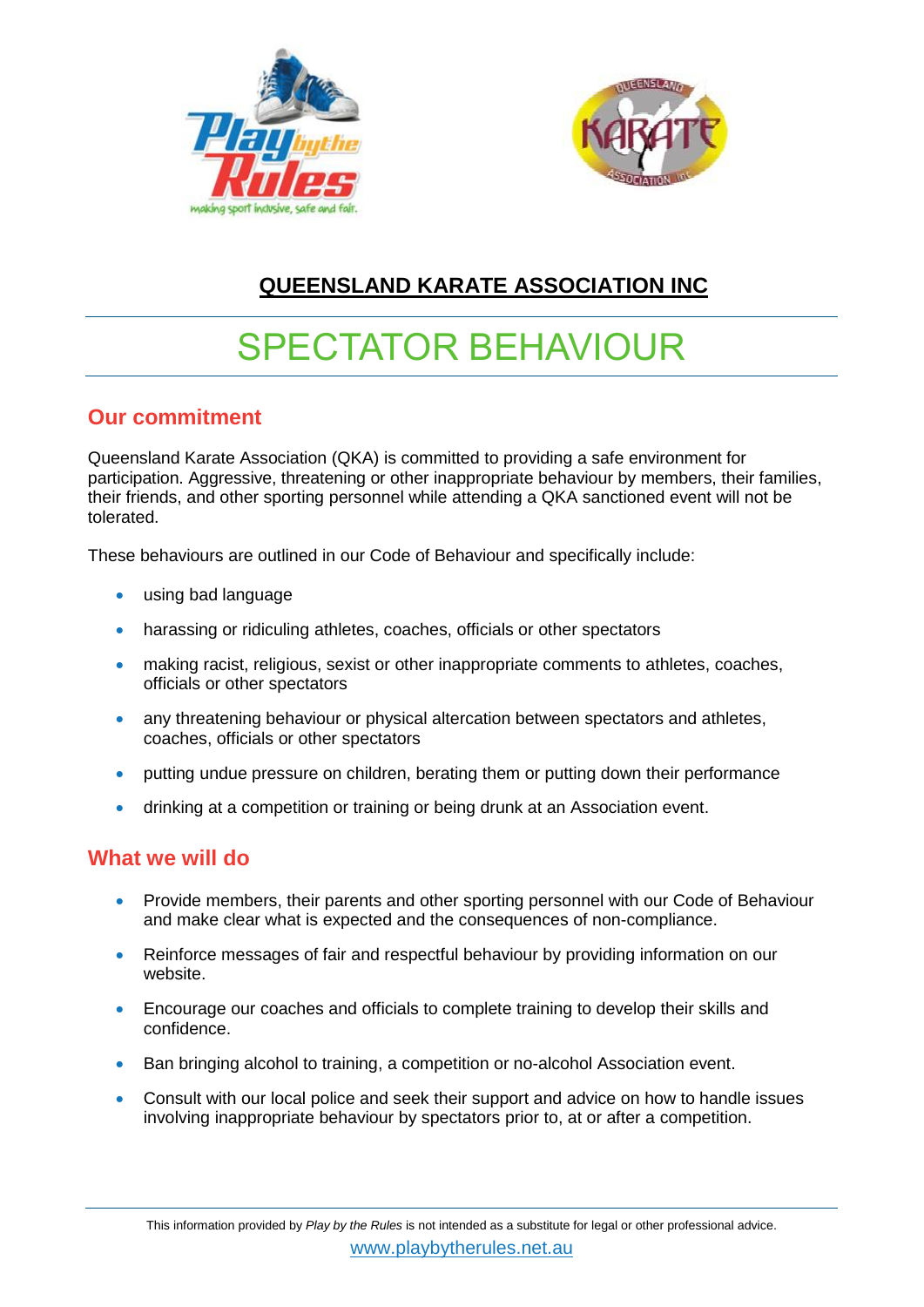



# **QUEENSLAND KARATE ASSOCIATION INC**

# SPECTATOR BEHAVIOUR

### **Our commitment**

Queensland Karate Association (QKA) is committed to providing a safe environment for participation. Aggressive, threatening or other inappropriate behaviour by members, their families, their friends, and other sporting personnel while attending a QKA sanctioned event will not be tolerated.

These behaviours are outlined in our Code of Behaviour and specifically include:

- using bad language
- harassing or ridiculing athletes, coaches, officials or other spectators
- making racist, religious, sexist or other inappropriate comments to athletes, coaches, officials or other spectators
- any threatening behaviour or physical altercation between spectators and athletes, coaches, officials or other spectators
- putting undue pressure on children, berating them or putting down their performance
- drinking at a competition or training or being drunk at an Association event.

## **What we will do**

- Provide members, their parents and other sporting personnel with our Code of Behaviour and make clear what is expected and the consequences of non-compliance.
- Reinforce messages of fair and respectful behaviour by providing information on our website.
- Encourage our coaches and officials to complete training to develop their skills and confidence.
- Ban bringing alcohol to training, a competition or no-alcohol Association event.
- Consult with our local police and seek their support and advice on how to handle issues involving inappropriate behaviour by spectators prior to, at or after a competition.